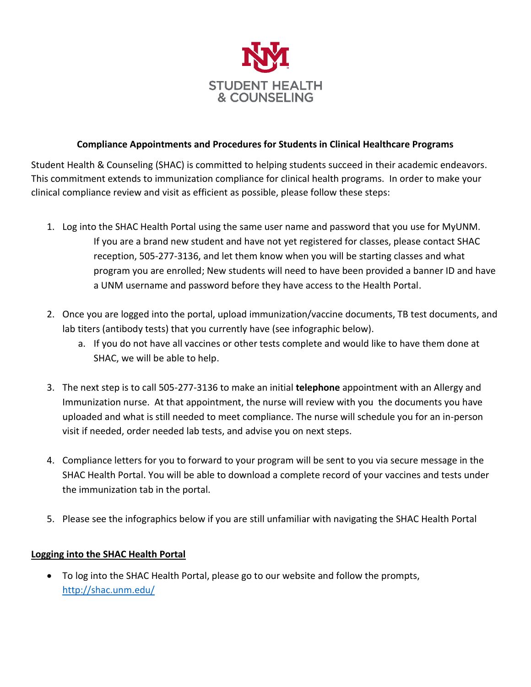

## **Compliance Appointments and Procedures for Students in Clinical Healthcare Programs**

Student Health & Counseling (SHAC) is committed to helping students succeed in their academic endeavors. This commitment extends to immunization compliance for clinical health programs. In order to make your clinical compliance review and visit as efficient as possible, please follow these steps:

- 1. Log into the SHAC Health Portal using the same user name and password that you use for MyUNM. If you are a brand new student and have not yet registered for classes, please contact SHAC reception, 505-277-3136, and let them know when you will be starting classes and what program you are enrolled; New students will need to have been provided a banner ID and have a UNM username and password before they have access to the Health Portal.
- 2. Once you are logged into the portal, upload immunization/vaccine documents, TB test documents, and lab titers (antibody tests) that you currently have (see infographic below).
	- a. If you do not have all vaccines or other tests complete and would like to have them done at SHAC, we will be able to help.
- 3. The next step is to call 505-277-3136 to make an initial **telephone** appointment with an Allergy and Immunization nurse. At that appointment, the nurse will review with you the documents you have uploaded and what is still needed to meet compliance. The nurse will schedule you for an in-person visit if needed, order needed lab tests, and advise you on next steps.
- 4. Compliance letters for you to forward to your program will be sent to you via secure message in the SHAC Health Portal. You will be able to download a complete record of your vaccines and tests under the immunization tab in the portal.
- 5. Please see the infographics below if you are still unfamiliar with navigating the SHAC Health Portal

### **Logging into the SHAC Health Portal**

• To log into the SHAC Health Portal, please go to our website and follow the prompts, <http://shac.unm.edu/>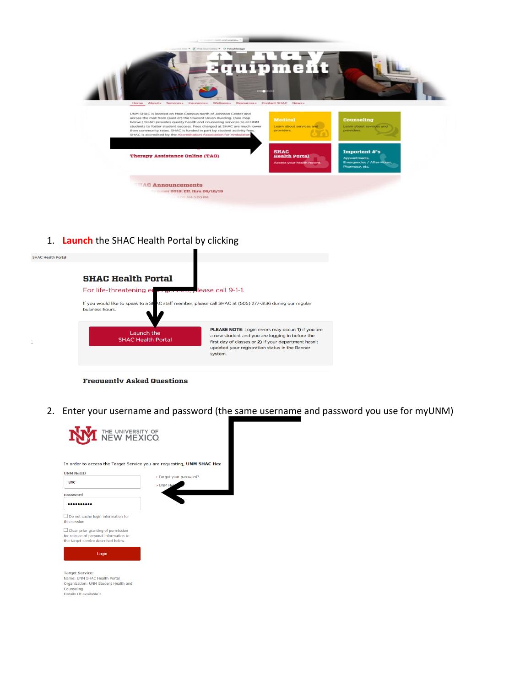

1. **Launch** the SHAC Health Portal by clicking

| <b>SHAC Health Portal</b> |                                                                                                                                                                                      |  |
|---------------------------|--------------------------------------------------------------------------------------------------------------------------------------------------------------------------------------|--|
|                           | <b>SHAC Health Portal</b>                                                                                                                                                            |  |
|                           | For life-threatening en engencies, please call 9-1-1.<br>If you would like to speak to a SHAC staff member, please call SHAC at (505) 277-3136 during our regular<br>business hours. |  |
|                           |                                                                                                                                                                                      |  |

**Frequently Asked Questions** 

2. Enter your username and password (the same username and password you use for myUNM)

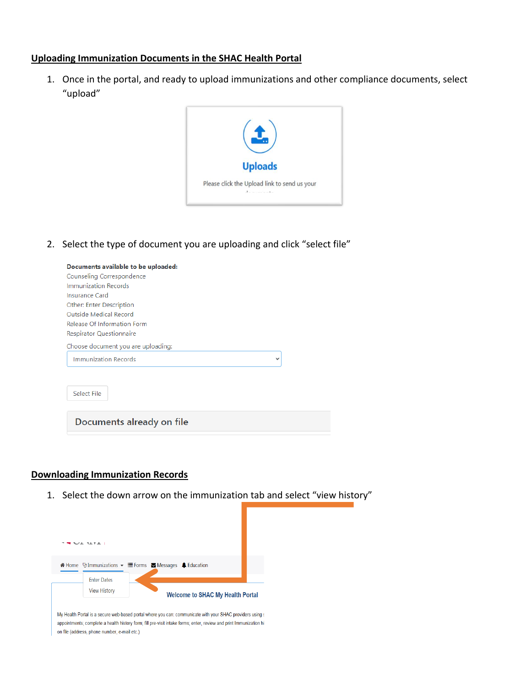#### **Uploading Immunization Documents in the SHAC Health Portal**

1. Once in the portal, and ready to upload immunizations and other compliance documents, select "upload"



2. Select the type of document you are uploading and click "select file"

| Documents available to be uploaded:<br>Counseling Correspondence<br>Immunization Records<br><b>Insurance Card</b><br>Other: Enter Description<br>Outside Medical Record<br>Release Of Information Form<br>Respirator Questionnaire |  |
|------------------------------------------------------------------------------------------------------------------------------------------------------------------------------------------------------------------------------------|--|
| Choose document you are uploading:<br>Immunization Records<br>$\check{ }$                                                                                                                                                          |  |
| Select File                                                                                                                                                                                                                        |  |
| Documents already on file                                                                                                                                                                                                          |  |

#### **Downloading Immunization Records**

1. Select the down arrow on the immunization tab and select "view history"



appointments; complete a health history form; fill pre-visit intake forms; enter, review and print Immunization hi on file (address, phone number, e-mail etc.)